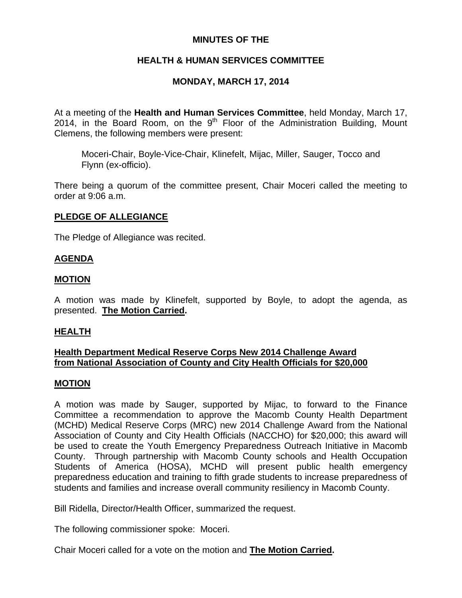## **MINUTES OF THE**

## **HEALTH & HUMAN SERVICES COMMITTEE**

## **MONDAY, MARCH 17, 2014**

At a meeting of the **Health and Human Services Committee**, held Monday, March 17, 2014, in the Board Room, on the  $9<sup>th</sup>$  Floor of the Administration Building, Mount Clemens, the following members were present:

Moceri-Chair, Boyle-Vice-Chair, Klinefelt, Mijac, Miller, Sauger, Tocco and Flynn (ex-officio).

There being a quorum of the committee present, Chair Moceri called the meeting to order at 9:06 a.m.

## **PLEDGE OF ALLEGIANCE**

The Pledge of Allegiance was recited.

## **AGENDA**

### **MOTION**

A motion was made by Klinefelt, supported by Boyle, to adopt the agenda, as presented. **The Motion Carried.** 

### **HEALTH**

## **Health Department Medical Reserve Corps New 2014 Challenge Award from National Association of County and City Health Officials for \$20,000**

### **MOTION**

A motion was made by Sauger, supported by Mijac, to forward to the Finance Committee a recommendation to approve the Macomb County Health Department (MCHD) Medical Reserve Corps (MRC) new 2014 Challenge Award from the National Association of County and City Health Officials (NACCHO) for \$20,000; this award will be used to create the Youth Emergency Preparedness Outreach Initiative in Macomb County. Through partnership with Macomb County schools and Health Occupation Students of America (HOSA), MCHD will present public health emergency preparedness education and training to fifth grade students to increase preparedness of students and families and increase overall community resiliency in Macomb County.

Bill Ridella, Director/Health Officer, summarized the request.

The following commissioner spoke: Moceri.

Chair Moceri called for a vote on the motion and **The Motion Carried.**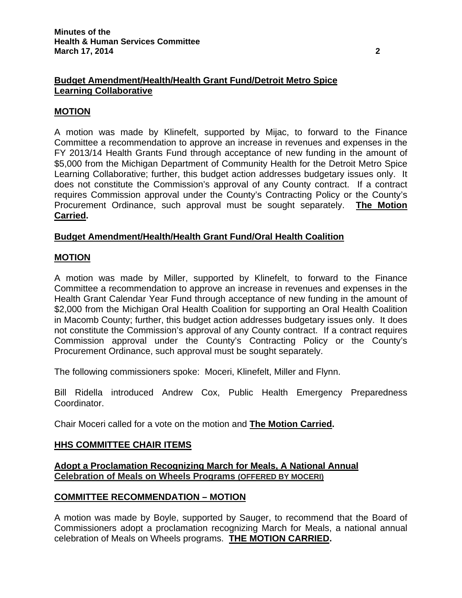## **Budget Amendment/Health/Health Grant Fund/Detroit Metro Spice Learning Collaborative**

## **MOTION**

A motion was made by Klinefelt, supported by Mijac, to forward to the Finance Committee a recommendation to approve an increase in revenues and expenses in the FY 2013/14 Health Grants Fund through acceptance of new funding in the amount of \$5,000 from the Michigan Department of Community Health for the Detroit Metro Spice Learning Collaborative; further, this budget action addresses budgetary issues only. It does not constitute the Commission's approval of any County contract. If a contract requires Commission approval under the County's Contracting Policy or the County's Procurement Ordinance, such approval must be sought separately. **The Motion Carried.** 

## **Budget Amendment/Health/Health Grant Fund/Oral Health Coalition**

### **MOTION**

A motion was made by Miller, supported by Klinefelt, to forward to the Finance Committee a recommendation to approve an increase in revenues and expenses in the Health Grant Calendar Year Fund through acceptance of new funding in the amount of \$2,000 from the Michigan Oral Health Coalition for supporting an Oral Health Coalition in Macomb County; further, this budget action addresses budgetary issues only. It does not constitute the Commission's approval of any County contract. If a contract requires Commission approval under the County's Contracting Policy or the County's Procurement Ordinance, such approval must be sought separately.

The following commissioners spoke: Moceri, Klinefelt, Miller and Flynn.

Bill Ridella introduced Andrew Cox, Public Health Emergency Preparedness Coordinator.

Chair Moceri called for a vote on the motion and **The Motion Carried.** 

### **HHS COMMITTEE CHAIR ITEMS**

**Adopt a Proclamation Recognizing March for Meals, A National Annual Celebration of Meals on Wheels Programs (OFFERED BY MOCERI)**

### **COMMITTEE RECOMMENDATION – MOTION**

A motion was made by Boyle, supported by Sauger, to recommend that the Board of Commissioners adopt a proclamation recognizing March for Meals, a national annual celebration of Meals on Wheels programs. **THE MOTION CARRIED.**